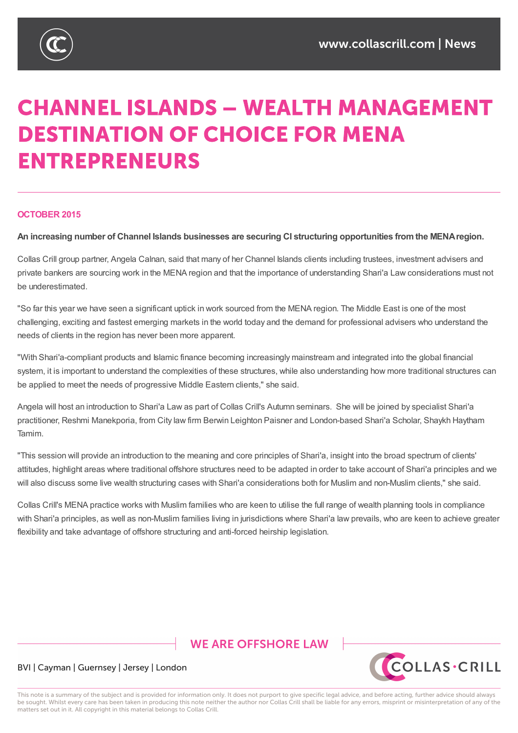

# **CHANNEL ISLANDS - WEALTH MANAGEMENT DESTINATION OF CHOICE FOR MENA ENTREPRENEURS**

### **OCTOBER 2015**

**An increasing number of Channel Islands businesses are securing CI structuring opportunities fromthe MENAregion.**

Collas Crill group partner, Angela Calnan, said that many of her Channel Islands clients including trustees, investment advisers and private bankers are sourcing work in the MENA region and that the importance of understanding Shari'a Law considerations must not be underestimated.

"So far this year we have seen a significant uptick in work sourced from the MENA region. The Middle East is one of the most challenging, exciting and fastest emerging markets in the world today and the demand for professional advisers who understand the needs of clients in the region has never been more apparent.

"With Shari'a-compliant products and Islamic finance becoming increasingly mainstream and integrated into the global financial system, it is important to understand the complexities of these structures, while also understanding how more traditional structures can be applied to meet the needs of progressive Middle Eastern clients," she said.

Angela will host an introduction to Shari'a Law as part of Collas Crill's Autumn seminars. She will be joined by specialist Shari'a practitioner, Reshmi Manekporia, from City law firm Berwin Leighton Paisner and London-based Shari'a Scholar, Shaykh Haytham Tamim.

"This session will provide an introduction to the meaning and core principles of Shari'a, insight into the broad spectrum of clients' attitudes, highlight areas where traditional offshore structures need to be adapted in order to take account of Shari'a principles and we will also discuss some live wealth structuring cases with Shari'a considerations both for Muslim and non-Muslim clients," she said.

Collas Crill's MENA practice works with Muslim families who are keen to utilise the full range of wealth planning tools in compliance with Shari'a principles, as well as non-Muslim families living in jurisdictions where Shari'a law prevails, who are keen to achieve greater flexibility and take advantage of offshore structuring and anti-forced heirship legislation.

# **WE ARE OFFSHORE LAW**



## BVI | Cayman | Guernsey | Jersey | London

This note is a summary of the subject and is provided for information only. It does not purport to give specific legal advice, and before acting, further advice should always be sought. Whilst every care has been taken in producing this note neither the author nor Collas Crill shall be liable for any errors, misprint or misinterpretation of any of the matters set out in it. All copyright in this material belongs to Collas Crill.